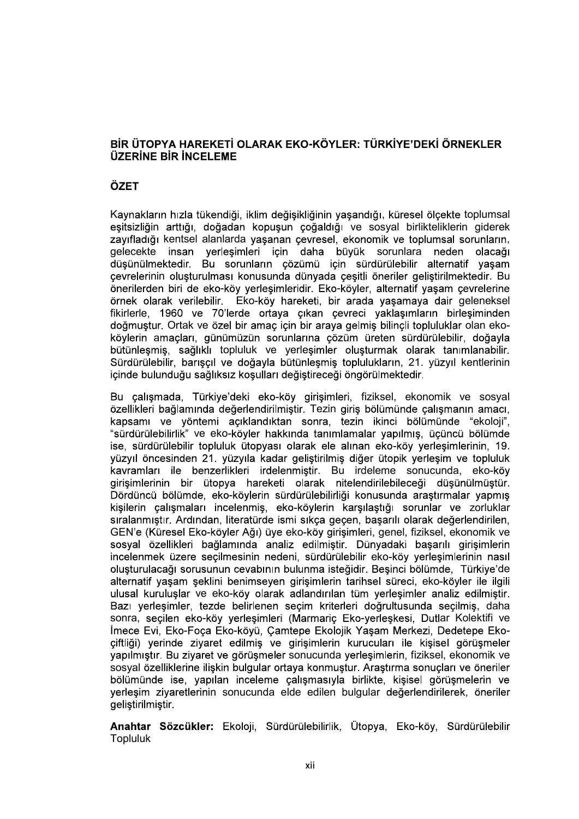## BİR ÜTOPYA HAREKETİ OLARAK EKO-KÖYLER: TÜRKİYE'DEKİ ÖRNEKLER **ÜZERINE BIR INCELEME**

## ÖZET

Kaynakların hızla tükendiği, iklim değişikliğinin yaşandığı, küresel ölçekte toplumsal eşitsizliğin arttığı, doğadan kopuşun çoğaldığı ve sosyal birlikteliklerin giderek zayıfladığı kentsel alanlarda yaşanan çevresel, ekonomik ve toplumsal sorunların,<br>gelecekte insan yerlesimleri için daha büyük sorunlara neden olacağı düşünülmektedir. Bu sorunların çözümü için sürdürülebilir alternatif yaşam çevrelerinin oluşturulması konusunda dünyada çeşitli öneriler geliştirilmektedir. Bu<br>önerilerden biri de eko-köy yerleşimleridir. Eko-köyler, alternatif yaşam çevrelerine örnek olarak verilebilir. Eko-köy hareketi, bir arada yaşamaya dair geleneksel fikirlerle, 1960 ve 70'lerde ortaya çıkan çevreci yaklaşımların birleşiminden doğmustur. Ortak ve özel bir amac için bir araya gelmiş bilincli topluluklar olan ekoköylerin amaçları, günümüzün sorunlarına çözüm üreten sürdürülebilir, doğayla bütünleşmiş, sağlıklı topluluk ve yerleşimler oluşturmak olarak tanımlanabilir. Sürdürülebilir, barışçıl ve doğayla bütünleşmiş toplulukların, 21. yüzyıl kentlerinin<br>içinde bulunduğu sağlıksız koşulları değiştireceği öngörülmektedir.<br>Bu çalışmada, Türkiye'deki eko-köy girişimleri, fiziksel, ekon

özellikleri bağlamında değerlendirilmiştir. Tezin giriş bölümünde çalışmanın amacı, kapsamı ve yöntemi açıklandıktan sonra, tezin ikinci bölümünde "ekoloji", "sürdürülebilirlik" ve eko-köyler hakkında tanımlamalar yapılmıs, üçüncü bölümde ise, sürdürülebilir topluluk ütopyası olarak ele alınan eko-köy yerleşimlerinin, 19. vüzyıl öncesinden 21. yüzyıla kadar gelistirilmis diğer ütopik yerlesim ve topluluk kavramları ile benzerlikleri irdelenmiştir. Bu irdeleme sonucunda, eko-köy girişimlerinin bir ütopya hareketi olarak nitelendirilebileceği düşünülmüştür. Dördüncü bölümde, eko-köylerin sürdürülebilirliği konusunda araştırmalar yapmış kişilerin çalışmaları incelenmiş, eko-köylerin karşılaştığı sorunlar ve zorluklar sıralanmıştır. Ardından, literatürde ismi sıkça geçen, başarılı olarak değerlendirilen, GEN'e (Küresel Eko-köyler Ağı) üye eko-köy girisimleri, genel, fiziksel, ekonomik ve sosyal özellikleri bağlamında analiz edilmiştir. Dünyadaki başarılı girişimlerin incelenmek üzere seçilmesinin nedeni, sürdürülebilir eko-köy yerleşimlerinin nasıl oluşturulacağı sorusunun cevabının bulunma isteğidir. Beşinci bölümde, Türkiye'de alternatif yasam seklini benimseyen girisimlerin tarihsel süreci, eko-köyler ile ilgili ulusal kuruluslar ve eko-köy olarak adlandırılan tüm yerlesimler analiz edilmiştir. Bazı yerleşimler, tezde belirlenen seçim kriterleri doğrultusunda seçilmiş, daha sonra, seçilen eko-köy yerleşimleri (Marmariç Eko-yerleşkesi, Dutlar Kolektifi ve<br>İmece Evi, Eko-Foça Eko-köyü, Çamtepe Ekolojik Yaşam Merkezi, Dedetepe Ekociftliği) yerinde ziyaret edilmiş ve girişimlerin kurucuları ile kişisel görüşmeler vapilmistir. Bu zivaret ve görüsmeler sonucunda verlesimlerin, fiziksel, ekonomik ve sosyal özelliklerine ilişkin bulgular ortaya konmuştur. Araştırma sonuçları ve öneriler<br>bölümünde ise, yapılan inceleme calısmasıyla birlikte, kisisel görüşmelerin ve yerleşim ziyaretlerinin sonucunda elde edilen bulgular değerlendirilerek, öneriler geliştirilmiştir.

Anahtar Sözcükler: Ekoloji, Sürdürülebilirlik, Ütopya, Eko-köy, Sürdürülebilir Topluluk